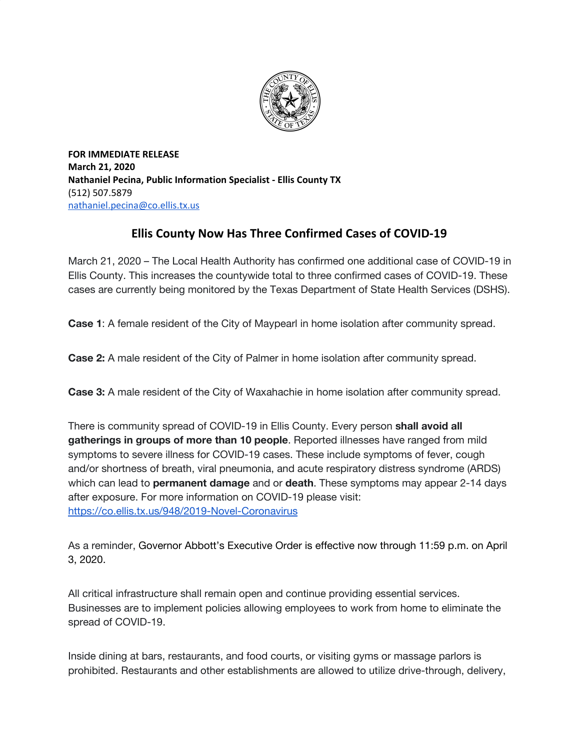

**FOR IMMEDIATE RELEASE March 21, 2020 Nathaniel Pecina, Public Information Specialist - Ellis County TX** (512) 507.5879 [nathaniel.pecina@co.ellis.tx.us](mailto:nathaniel.pecina@co.ellis.tx.us)

## **Ellis County Now Has Three Confirmed Cases of COVID-19**

March 21, 2020 – The Local Health Authority has confirmed one additional case of COVID-19 in Ellis County. This increases the countywide total to three confirmed cases of COVID-19. These cases are currently being monitored by the Texas Department of State Health Services (DSHS).

**Case 1**: A female resident of the City of Maypearl in home isolation after community spread.

**Case 2:** A male resident of the City of Palmer in home isolation after community spread.

**Case 3:** A male resident of the City of Waxahachie in home isolation after community spread.

There is community spread of COVID-19 in Ellis County. Every person **shall avoid all gatherings in groups of more than 10 people**. Reported illnesses have ranged from mild symptoms to severe illness for COVID-19 cases. These include symptoms of fever, cough and/or shortness of breath, viral pneumonia, and acute respiratory distress syndrome (ARDS) which can lead to **permanent damage** and or **death**. These symptoms may appear 2-14 days after exposure. For more information on COVID-19 please visit: <https://co.ellis.tx.us/948/2019-Novel-Coronavirus>

As a reminder, Governor Abbott's Executive Order is effective now through 11:59 p.m. on April 3, 2020.

All critical infrastructure shall remain open and continue providing essential services. Businesses are to implement policies allowing employees to work from home to eliminate the spread of COVID-19.

Inside dining at bars, restaurants, and food courts, or visiting gyms or massage parlors is prohibited. Restaurants and other establishments are allowed to utilize drive-through, delivery,